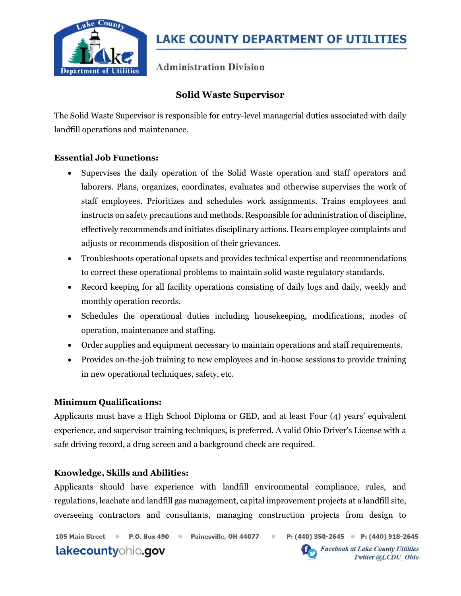

# **LAKE COUNTY DEPARTMENT OF UTILITIES**

**Administration Division** 

### Solid Waste Supervisor

The Solid Waste Supervisor is responsible for entry-level managerial duties associated with daily landfill operations and maintenance.

#### Essential Job Functions:

- Supervises the daily operation of the Solid Waste operation and staff operators and laborers. Plans, organizes, coordinates, evaluates and otherwise supervises the work of staff employees. Prioritizes and schedules work assignments. Trains employees and instructs on safety precautions and methods. Responsible for administration of discipline, effectively recommends and initiates disciplinary actions. Hears employee complaints and adjusts or recommends disposition of their grievances.
- Troubleshoots operational upsets and provides technical expertise and recommendations to correct these operational problems to maintain solid waste regulatory standards.
- Record keeping for all facility operations consisting of daily logs and daily, weekly and monthly operation records.
- Schedules the operational duties including housekeeping, modifications, modes of operation, maintenance and staffing.
- Order supplies and equipment necessary to maintain operations and staff requirements.
- Provides on-the-job training to new employees and in-house sessions to provide training in new operational techniques, safety, etc.

#### Minimum Qualifications:

Applicants must have a High School Diploma or GED, and at least Four (4) years' equivalent experience, and supervisor training techniques, is preferred. A valid Ohio Driver's License with a safe driving record, a drug screen and a background check are required.

#### Knowledge, Skills and Abilities:

Applicants should have experience with landfill environmental compliance, rules, and regulations, leachate and landfill gas management, capital improvement projects at a landfill site, overseeing contractors and consultants, managing construction projects from design to

105 Main Street P.O. Box 490 . Painesville, OH 44077 P: (440) 350-2645 • P: (440) 918-2645  $\ddot{\circ}$ lakecountyohio.gov